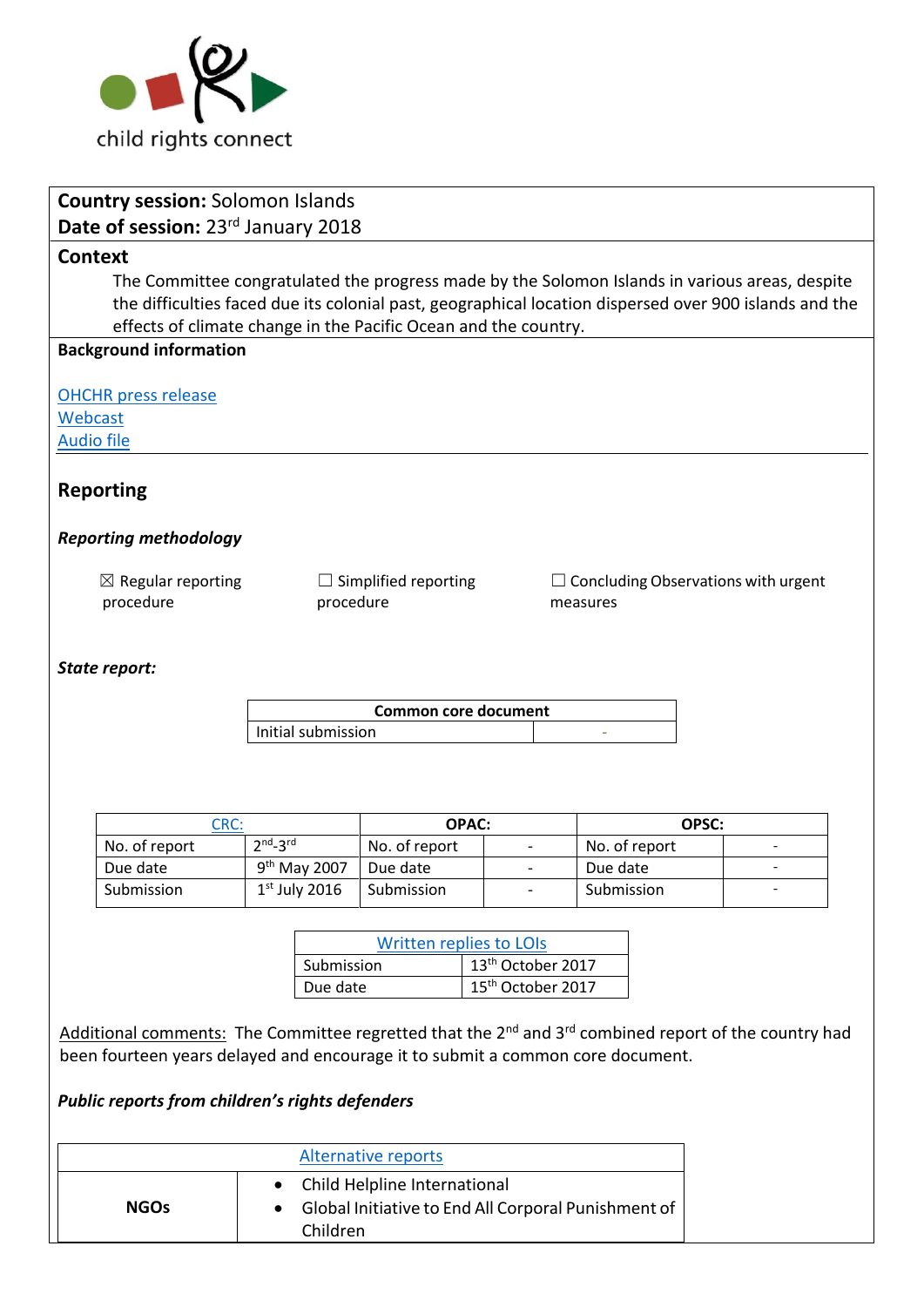

|                                | <b>Country session: Solomon Islands</b>                                                                                      |                   |                    |                               |                               |  |            |                        |                                                                                                        |
|--------------------------------|------------------------------------------------------------------------------------------------------------------------------|-------------------|--------------------|-------------------------------|-------------------------------|--|------------|------------------------|--------------------------------------------------------------------------------------------------------|
|                                | Date of session: 23rd January 2018                                                                                           |                   |                    |                               |                               |  |            |                        |                                                                                                        |
| <b>Context</b>                 |                                                                                                                              |                   |                    |                               |                               |  |            |                        |                                                                                                        |
|                                | The Committee congratulated the progress made by the Solomon Islands in various areas, despite                               |                   |                    |                               |                               |  |            |                        |                                                                                                        |
|                                |                                                                                                                              |                   |                    |                               |                               |  |            |                        | the difficulties faced due its colonial past, geographical location dispersed over 900 islands and the |
|                                | effects of climate change in the Pacific Ocean and the country.                                                              |                   |                    |                               |                               |  |            |                        |                                                                                                        |
|                                | <b>Background information</b>                                                                                                |                   |                    |                               |                               |  |            |                        |                                                                                                        |
|                                |                                                                                                                              |                   |                    |                               |                               |  |            |                        |                                                                                                        |
|                                | <b>OHCHR</b> press release                                                                                                   |                   |                    |                               |                               |  |            |                        |                                                                                                        |
| Webcast                        |                                                                                                                              |                   |                    |                               |                               |  |            |                        |                                                                                                        |
| <b>Audio file</b>              |                                                                                                                              |                   |                    |                               |                               |  |            |                        |                                                                                                        |
|                                | <b>Reporting</b>                                                                                                             |                   |                    |                               |                               |  |            |                        |                                                                                                        |
|                                |                                                                                                                              |                   |                    |                               |                               |  |            |                        |                                                                                                        |
|                                | <b>Reporting methodology</b>                                                                                                 |                   |                    |                               |                               |  |            |                        |                                                                                                        |
|                                |                                                                                                                              |                   |                    |                               |                               |  |            |                        |                                                                                                        |
|                                | $\boxtimes$ Regular reporting                                                                                                |                   |                    | $\Box$ Simplified reporting   |                               |  |            |                        | $\Box$ Concluding Observations with urgent                                                             |
|                                | procedure                                                                                                                    |                   | procedure          |                               |                               |  | measures   |                        |                                                                                                        |
|                                |                                                                                                                              |                   |                    |                               |                               |  |            |                        |                                                                                                        |
|                                | State report:                                                                                                                |                   |                    |                               |                               |  |            |                        |                                                                                                        |
|                                |                                                                                                                              |                   |                    |                               |                               |  |            |                        |                                                                                                        |
|                                |                                                                                                                              |                   |                    | <b>Common core document</b>   |                               |  |            |                        |                                                                                                        |
|                                |                                                                                                                              |                   | Initial submission |                               |                               |  |            |                        |                                                                                                        |
|                                |                                                                                                                              |                   |                    |                               |                               |  |            |                        |                                                                                                        |
|                                |                                                                                                                              |                   |                    |                               |                               |  |            |                        |                                                                                                        |
|                                |                                                                                                                              |                   |                    |                               |                               |  |            |                        |                                                                                                        |
|                                | No. of report                                                                                                                | CRC:<br>$2nd-3rd$ |                    | <b>OPAC:</b><br>No. of report |                               |  |            | OPSC:<br>No. of report |                                                                                                        |
|                                | Due date                                                                                                                     |                   | $9th$ May 2007     | Due date                      |                               |  | Due date   |                        |                                                                                                        |
|                                | Submission                                                                                                                   |                   | $1st$ July 2016    | Submission                    |                               |  | Submission |                        |                                                                                                        |
|                                |                                                                                                                              |                   |                    |                               |                               |  |            |                        |                                                                                                        |
| <b>Written replies to LOIS</b> |                                                                                                                              |                   |                    |                               |                               |  |            |                        |                                                                                                        |
|                                |                                                                                                                              |                   | Submission         |                               | 13 <sup>th</sup> October 2017 |  |            |                        |                                                                                                        |
|                                |                                                                                                                              |                   | Due date           |                               | 15 <sup>th</sup> October 2017 |  |            |                        |                                                                                                        |
|                                |                                                                                                                              |                   |                    |                               |                               |  |            |                        |                                                                                                        |
|                                | Additional comments: The Committee regretted that the 2 <sup>nd</sup> and 3 <sup>rd</sup> combined report of the country had |                   |                    |                               |                               |  |            |                        |                                                                                                        |
|                                | been fourteen years delayed and encourage it to submit a common core document.                                               |                   |                    |                               |                               |  |            |                        |                                                                                                        |
|                                |                                                                                                                              |                   |                    |                               |                               |  |            |                        |                                                                                                        |
|                                | Public reports from children's rights defenders                                                                              |                   |                    |                               |                               |  |            |                        |                                                                                                        |
|                                |                                                                                                                              |                   |                    |                               |                               |  |            |                        |                                                                                                        |
|                                |                                                                                                                              |                   |                    | <b>Alternative reports</b>    |                               |  |            |                        |                                                                                                        |
|                                | Child Helpline International<br>٠                                                                                            |                   |                    |                               |                               |  |            |                        |                                                                                                        |
|                                | <b>NGOs</b><br>Global Initiative to End All Corporal Punishment of                                                           |                   |                    |                               |                               |  |            |                        |                                                                                                        |
|                                |                                                                                                                              | Children          |                    |                               |                               |  |            |                        |                                                                                                        |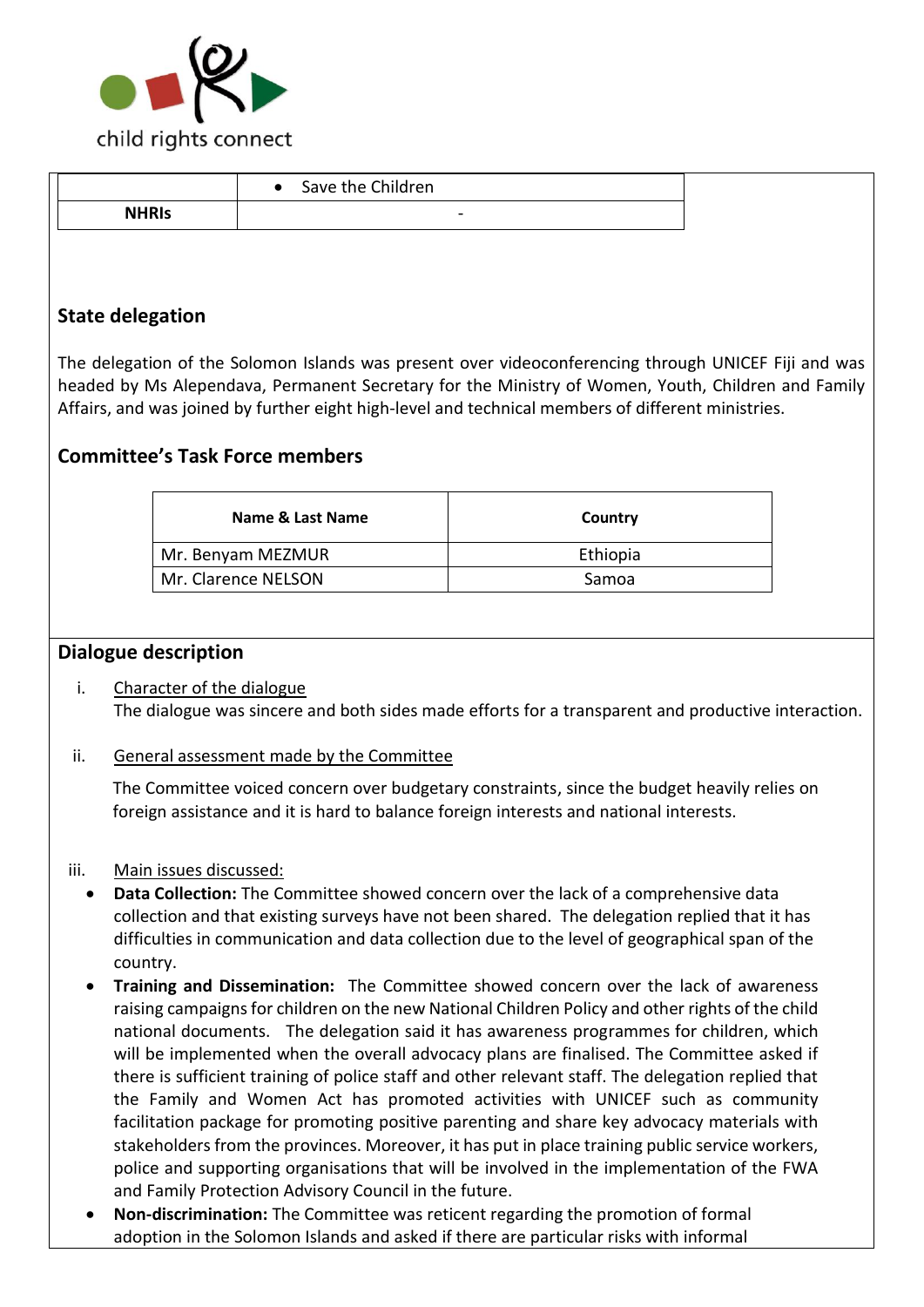

|              | Save the Children<br>$\bullet$ |  |
|--------------|--------------------------------|--|
| <b>NHRIS</b> | -                              |  |
|              |                                |  |

# **State delegation**

The delegation of the Solomon Islands was present over videoconferencing through UNICEF Fiji and was headed by Ms Alependava, Permanent Secretary for the Ministry of Women, Youth, Children and Family Affairs, and was joined by further eight high-level and technical members of different ministries.

# **Committee's Task Force members**

| Name & Last Name    | Country  |
|---------------------|----------|
| Mr. Benyam MEZMUR   | Ethiopia |
| Mr. Clarence NELSON | Samoa    |

### **Dialogue description**

i. Character of the dialogue The dialogue was sincere and both sides made efforts for a transparent and productive interaction.

### ii. General assessment made by the Committee

The Committee voiced concern over budgetary constraints, since the budget heavily relies on foreign assistance and it is hard to balance foreign interests and national interests.

#### iii. Main issues discussed:

- **Data Collection:** The Committee showed concern over the lack of a comprehensive data collection and that existing surveys have not been shared. The delegation replied that it has difficulties in communication and data collection due to the level of geographical span of the country.
- **Training and Dissemination:** The Committee showed concern over the lack of awareness raising campaigns for children on the new National Children Policy and other rights of the child national documents. The delegation said it has awareness programmes for children, which will be implemented when the overall advocacy plans are finalised. The Committee asked if there is sufficient training of police staff and other relevant staff. The delegation replied that the Family and Women Act has promoted activities with UNICEF such as community facilitation package for promoting positive parenting and share key advocacy materials with stakeholders from the provinces. Moreover, it has put in place training public service workers, police and supporting organisations that will be involved in the implementation of the FWA and Family Protection Advisory Council in the future.
- **Non-discrimination:** The Committee was reticent regarding the promotion of formal adoption in the Solomon Islands and asked if there are particular risks with informal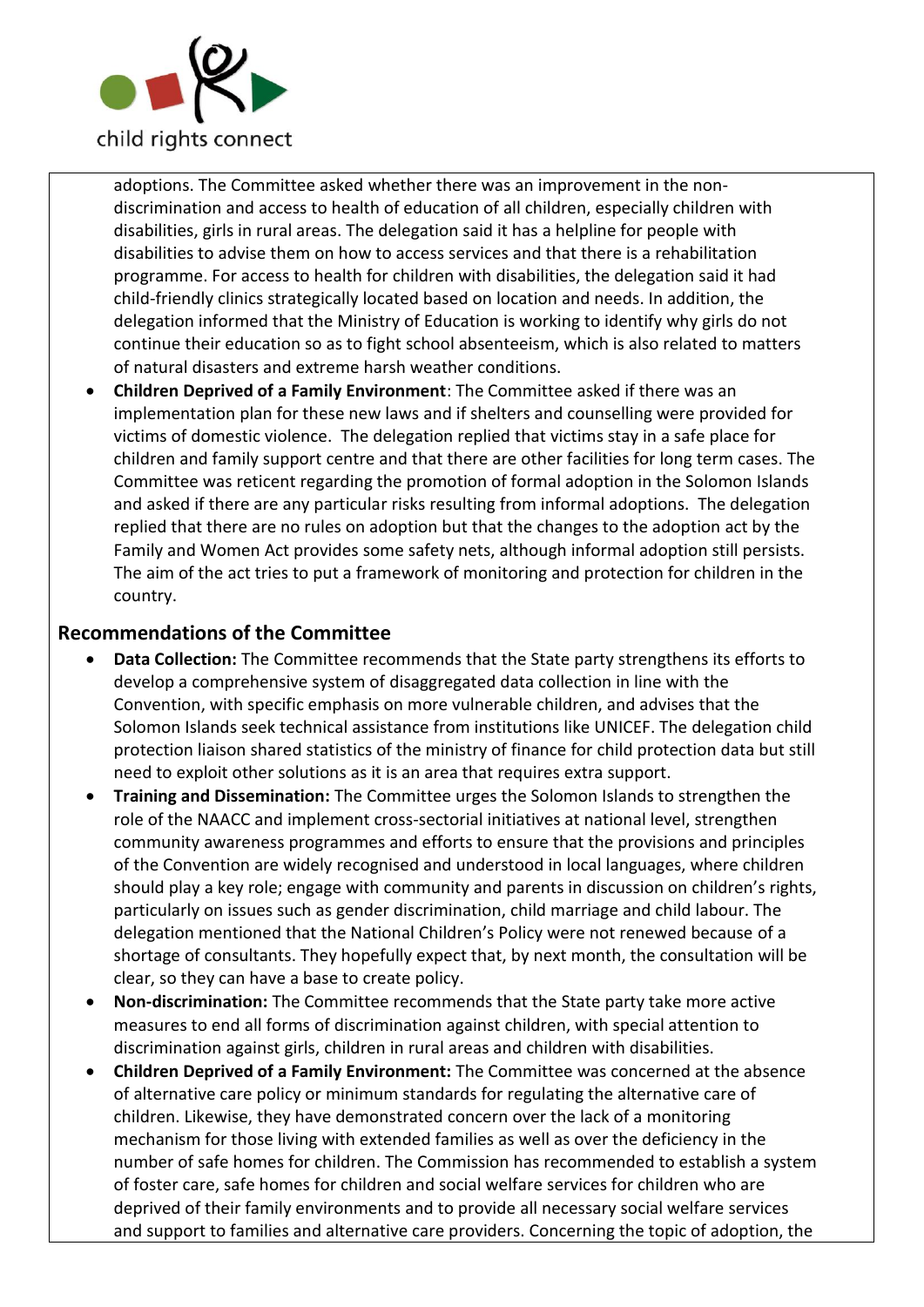

adoptions. The Committee asked whether there was an improvement in the nondiscrimination and access to health of education of all children, especially children with disabilities, girls in rural areas. The delegation said it has a helpline for people with disabilities to advise them on how to access services and that there is a rehabilitation programme. For access to health for children with disabilities, the delegation said it had child-friendly clinics strategically located based on location and needs. In addition, the delegation informed that the Ministry of Education is working to identify why girls do not continue their education so as to fight school absenteeism, which is also related to matters of natural disasters and extreme harsh weather conditions.

• **Children Deprived of a Family Environment**: The Committee asked if there was an implementation plan for these new laws and if shelters and counselling were provided for victims of domestic violence. The delegation replied that victims stay in a safe place for children and family support centre and that there are other facilities for long term cases. The Committee was reticent regarding the promotion of formal adoption in the Solomon Islands and asked if there are any particular risks resulting from informal adoptions. The delegation replied that there are no rules on adoption but that the changes to the adoption act by the Family and Women Act provides some safety nets, although informal adoption still persists. The aim of the act tries to put a framework of monitoring and protection for children in the country.

## **Recommendations of the Committee**

- **Data Collection:** The Committee recommends that the State party strengthens its efforts to develop a comprehensive system of disaggregated data collection in line with the Convention, with specific emphasis on more vulnerable children, and advises that the Solomon Islands seek technical assistance from institutions like UNICEF. The delegation child protection liaison shared statistics of the ministry of finance for child protection data but still need to exploit other solutions as it is an area that requires extra support.
- **Training and Dissemination:** The Committee urges the Solomon Islands to strengthen the role of the NAACC and implement cross-sectorial initiatives at national level, strengthen community awareness programmes and efforts to ensure that the provisions and principles of the Convention are widely recognised and understood in local languages, where children should play a key role; engage with community and parents in discussion on children's rights, particularly on issues such as gender discrimination, child marriage and child labour. The delegation mentioned that the National Children's Policy were not renewed because of a shortage of consultants. They hopefully expect that, by next month, the consultation will be clear, so they can have a base to create policy.
- **Non-discrimination:** The Committee recommends that the State party take more active measures to end all forms of discrimination against children, with special attention to discrimination against girls, children in rural areas and children with disabilities.
- **Children Deprived of a Family Environment:** The Committee was concerned at the absence of alternative care policy or minimum standards for regulating the alternative care of children. Likewise, they have demonstrated concern over the lack of a monitoring mechanism for those living with extended families as well as over the deficiency in the number of safe homes for children. The Commission has recommended to establish a system of foster care, safe homes for children and social welfare services for children who are deprived of their family environments and to provide all necessary social welfare services and support to families and alternative care providers. Concerning the topic of adoption, the